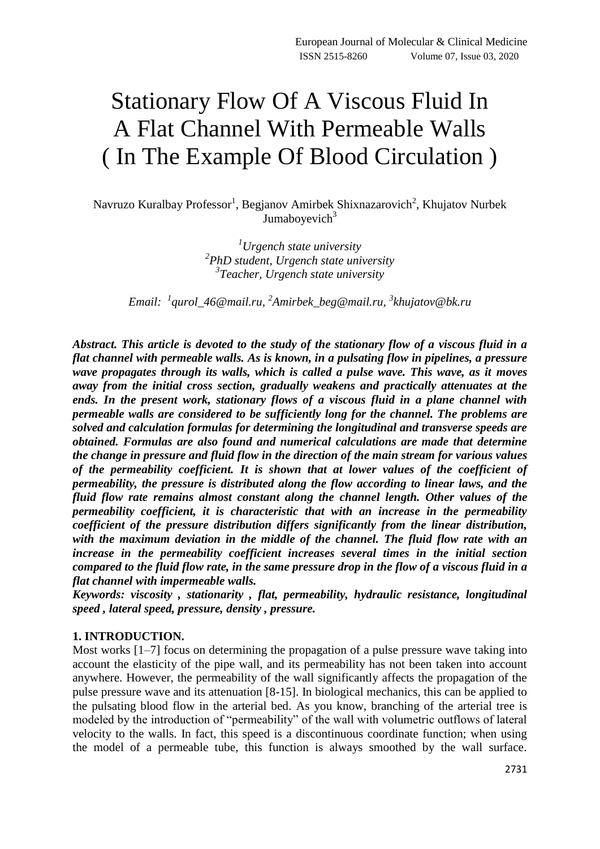# Stationary Flow Of A Viscous Fluid In A Flat Channel With Permeable Walls ( In The Example Of Blood Circulation )

# Navruzo Kuralbay Professor<sup>1</sup>, Begjanov Amirbek Shixnazarovich<sup>2</sup>, Khujatov Nurbek Jumaboyevich $3$

*<sup>1</sup>Urgench state university 2 PhD student, Urgench state university 3 Teacher, Urgench state university*

*Email: <sup>1</sup> [qurol\\_46@mail.ru,](mailto:qurol_46@mail.ru) 2 [Amirbek\\_beg@mail.ru,](mailto:Amirbek_beg@mail.ru) 3 [khujatov@bk.ru](mailto:khujatov@bk.ru)*

*Abstract. This article is devoted to the study of the stationary flow of a viscous fluid in a flat channel with permeable walls. As is known, in a pulsating flow in pipelines, a pressure wave propagates through its walls, which is called a pulse wave. This wave, as it moves away from the initial cross section, gradually weakens and practically attenuates at the ends. In the present work, stationary flows of a viscous fluid in a plane channel with permeable walls are considered to be sufficiently long for the channel. The problems are solved and calculation formulas for determining the longitudinal and transverse speeds are obtained. Formulas are also found and numerical calculations are made that determine the change in pressure and fluid flow in the direction of the main stream for various values of the permeability coefficient. It is shown that at lower values of the coefficient of permeability, the pressure is distributed along the flow according to linear laws, and the fluid flow rate remains almost constant along the channel length. Other values of the permeability coefficient, it is characteristic that with an increase in the permeability coefficient of the pressure distribution differs significantly from the linear distribution, with the maximum deviation in the middle of the channel. The fluid flow rate with an increase in the permeability coefficient increases several times in the initial section compared to the fluid flow rate, in the same pressure drop in the flow of a viscous fluid in a flat channel with impermeable walls.*

*Keywords: viscosity , stationarity , flat, permeability, hydraulic resistance, longitudinal speed , lateral speed, pressure, density , pressure.* 

#### **1. INTRODUCTION.**

Most works [1–7] focus on determining the propagation of a pulse pressure wave taking into account the elasticity of the pipe wall, and its permeability has not been taken into account anywhere. However, the permeability of the wall significantly affects the propagation of the pulse pressure wave and its attenuation [8-15]. In biological mechanics, this can be applied to the pulsating blood flow in the arterial bed. As you know, branching of the arterial tree is modeled by the introduction of "permeability" of the wall with volumetric outflows of lateral velocity to the walls. In fact, this speed is a discontinuous coordinate function; when using the model of a permeable tube, this function is always smoothed by the wall surface.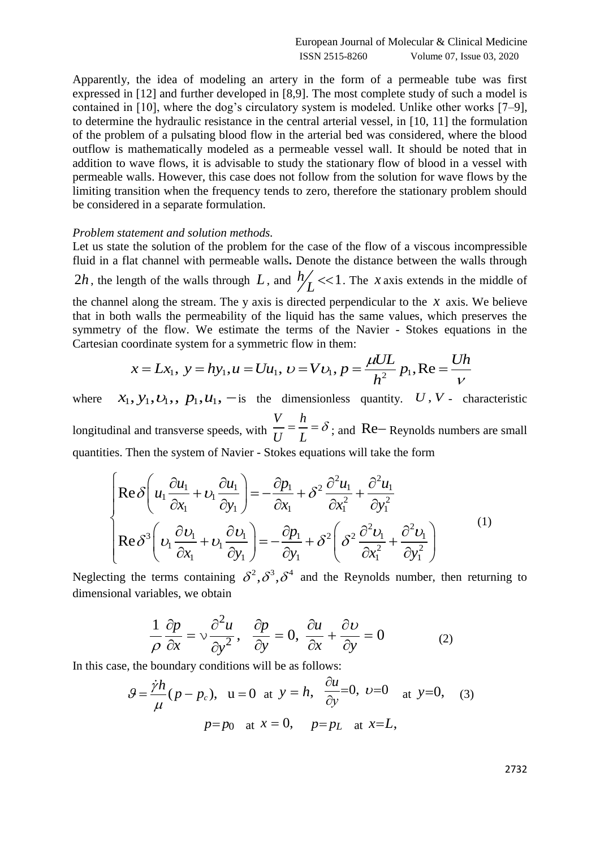Apparently, the idea of modeling an artery in the form of a permeable tube was first expressed in [12] and further developed in [8,9]. The most complete study of such a model is contained in [10], where the dog's circulatory system is modeled. Unlike other works [7–9], to determine the hydraulic resistance in the central arterial vessel, in [10, 11] the formulation of the problem of a pulsating blood flow in the arterial bed was considered, where the blood outflow is mathematically modeled as a permeable vessel wall. It should be noted that in addition to wave flows, it is advisable to study the stationary flow of blood in a vessel with permeable walls. However, this case does not follow from the solution for wave flows by the limiting transition when the frequency tends to zero, therefore the stationary problem should be considered in a separate formulation.

#### *Problem statement and solution methods.*

Let us state the solution of the problem for the case of the flow of a viscous incompressible fluid in a flat channel with permeable walls**.** Denote the distance between the walls through 2*h*, the length of the walls through L, and  $h/7 < 1$  $L$ <
1. The *x* axis extends in the middle of the channel along the stream. The y axis is directed perpendicular to the  $x$  axis. We believe that in both walls the permeability of the liquid has the same values, which preserves the symmetry of the flow. We estimate the terms of the Navier - Stokes equations in the walls the permeability of the liquid has the same values, which preserves<br>of the flow. We estimate the terms of the Navier - Stokes equations in<br>ordinate system for a symmetric flow in them:<br> $x = Lx_1$ ,  $y = hy_1$ ,  $u = Uu_1$ ,

Cartesian coordinate system for a symmetric flow in them:  
\n
$$
x = Lx_1, y = hy_1, u = Uu_1, v = Vv_1, p = \frac{\mu UL}{h^2} p_1, Re = \frac{Uh}{V}
$$

where  $x_1, y_1, v_1,$ ,  $p_1, u_1$ ,  $-i$ s the dimensionless quantity. *U*, *V* - characteristic longitudinal and transverse speeds, with *V h U L*  $=\frac{n}{I} = \delta$ ; and Re–Reynolds numbers are small

quantities. Then the system of Navier - Stokes equations will take the form  
\n
$$
\begin{cases}\n\text{Re}\,\delta\left(u_1\frac{\partial u_1}{\partial x_1} + v_1\frac{\partial u_1}{\partial y_1}\right) = -\frac{\partial p_1}{\partial x_1} + \delta^2\frac{\partial^2 u_1}{\partial x_1^2} + \frac{\partial^2 u_1}{\partial y_1^2} \\
\text{Re}\,\delta^3\left(v_1\frac{\partial v_1}{\partial x_1} + v_1\frac{\partial v_1}{\partial y_1}\right) = -\frac{\partial p_1}{\partial y_1} + \delta^2\left(\delta^2\frac{\partial^2 v_1}{\partial x_1^2} + \frac{\partial^2 v_1}{\partial y_1^2}\right)\n\end{cases}
$$
\n(1)

Neglecting the terms containing  $\delta^2$ ,  $\delta^3$ ,  $\delta^4$  and the Reynolds number, then returning to dimensional variables, we obtain

$$
\frac{1}{\rho} \frac{\partial p}{\partial x} = v \frac{\partial^2 u}{\partial y^2}, \quad \frac{\partial p}{\partial y} = 0, \quad \frac{\partial u}{\partial x} + \frac{\partial v}{\partial y} = 0 \tag{2}
$$

In this case, the boundary conditions will be as follows:

$$
\mathcal{G} = \frac{\dot{\gamma}h}{\mu}(p - p_c), \quad u = 0 \quad \text{at} \quad y = h, \quad \frac{\partial u}{\partial y} = 0, \quad v = 0 \quad \text{at} \quad y = 0, \quad (3)
$$
\n
$$
p = p_0 \quad \text{at} \quad x = 0, \quad p = p_L \quad \text{at} \quad x = L,
$$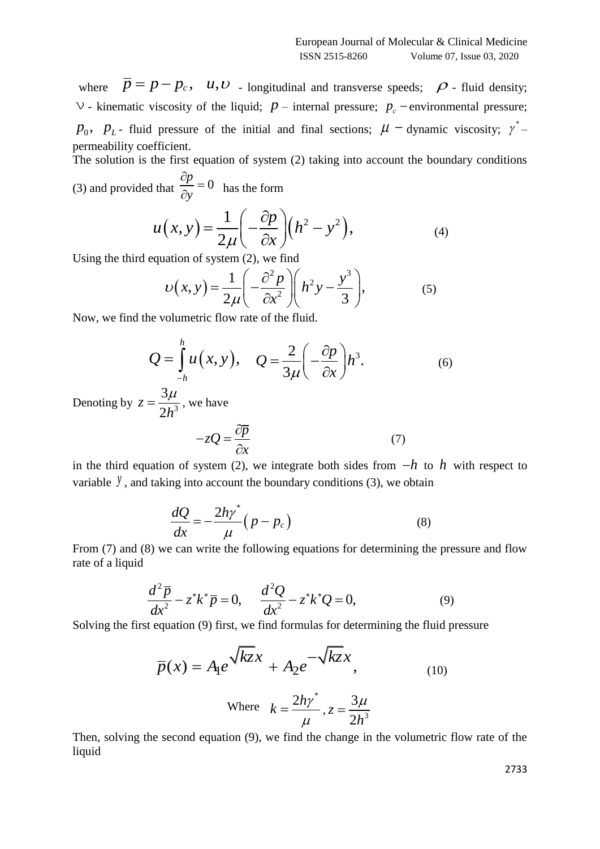where  $\overline{p} = p - p_c$ , *u*,*v* - longitudinal and transverse speeds;  $\rho$  - fluid density;  $\vee$  - kinematic viscosity of the liquid;  $p$  – internal pressure;  $p_c$  – environmental pressure;  $p_0$ ,  $p_L$ - fluid pressure of the initial and final sections;  $\mu$  – dynamic viscosity;  $\gamma^*$ permeability coefficient.

The solution is the first equation of system (2) taking into account the boundary conditions (3) and provided that  $\frac{op}{\partial y} = 0$ *p y*  $\partial$  $=$ 

that 
$$
\frac{1}{\partial y} = 0
$$
 has the form  
\n
$$
u(x, y) = \frac{1}{2\mu} \left( -\frac{\partial p}{\partial x} \right) \left( h^2 - y^2 \right), \tag{4}
$$

Using the third equation of system (2), we find  
\n
$$
U(x, y) = \frac{1}{2\mu} \left( -\frac{\partial^2 p}{\partial x^2} \right) \left( h^2 y - \frac{y^3}{3} \right),
$$
\n(5)

Now, we find the volumetric flow rate of the fluid.

$$
Q = \int_{-h}^{h} u(x, y), \quad Q = \frac{2}{3\mu} \left( -\frac{\partial p}{\partial x} \right) h^{3}.
$$
 (6)

Denoting by  $z = \frac{\epsilon \mu}{2h^3}$ 3 2 *z h*  $=\frac{3\mu}{\sigma^2}$ , we have

$$
-zQ = \frac{\partial \overline{p}}{\partial x} \tag{7}
$$

in the third equation of system (2), we integrate both sides from  $-h$  to h with respect to variable  $\mathcal{Y}$ , and taking into account the boundary conditions (3), we obtain

$$
\frac{dQ}{dx} = -\frac{2h\gamma^*}{\mu}(p - p_c)
$$
\n(8)

From (7) and (8) we can write the following equations for determining the pressure and flow rate of a liquid

$$
\frac{d^2\overline{p}}{dx^2} - z^*k^*\overline{p} = 0, \qquad \frac{d^2Q}{dx^2} - z^*k^*Q = 0,\tag{9}
$$

Solving the first equation (9) first, we find formulas for determining the fluid pressure

$$
\overline{p}(x) = A_1 e^{\sqrt{kz}x} + A_2 e^{-\sqrt{kz}x}, \qquad (10)
$$

Where 
$$
k = \frac{2hy^*}{\mu}
$$
,  $z = \frac{3\mu}{2h^3}$ 

Then, solving the second equation (9), we find the change in the volumetric flow rate of the liquid

2733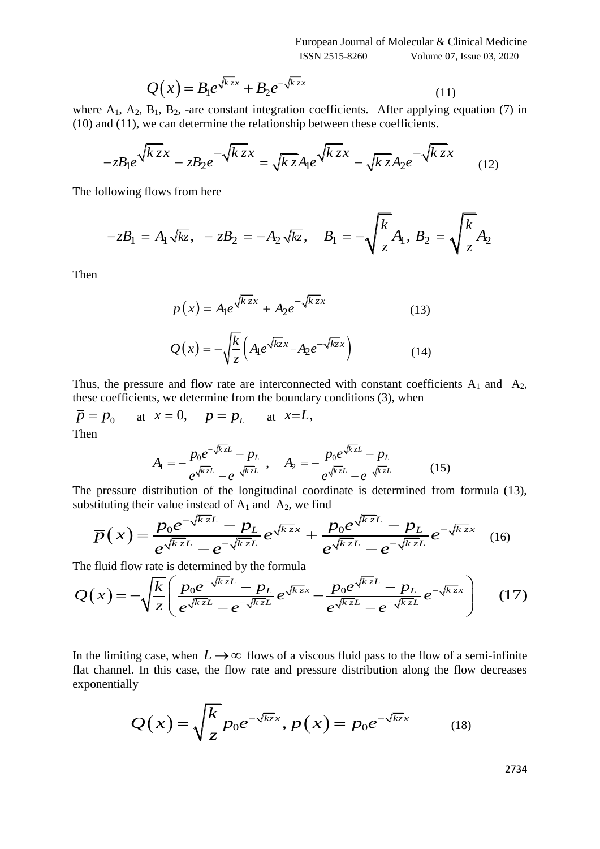$$
Q(x) = B_1 e^{\sqrt{kz}x} + B_2 e^{-\sqrt{kz}x}
$$
\n(11)

where  $A_1$ ,  $A_2$ ,  $B_1$ ,  $B_2$ , -are constant integration coefficients. After applying equation (7) in

(10) and (11), we can determine the relationship between these coefficients.  
\n
$$
-zB_1e^{\sqrt{k}zx} - zB_2e^{-\sqrt{k}zx} = \sqrt{kz}A_1e^{\sqrt{kzx}} - \sqrt{kz}A_2e^{-\sqrt{kzx}}
$$
\n(12)

The following flows from here

 \n I lowing flows from here\n \n 
$$
-zB_1 = A_1 \sqrt{kz}, \quad\n - zB_2 = -A_2 \sqrt{kz}, \quad\n B_1 = -\sqrt{\frac{k}{z}}A_1, \quad\n B_2 = \sqrt{\frac{k}{z}}A_2
$$
\n

Then

$$
\overline{p}(x) = A_1 e^{\sqrt{kz}x} + A_2 e^{-\sqrt{kz}x}
$$
\n
$$
Q(x) = -\sqrt{\frac{k}{z}} \left( A_1 e^{\sqrt{kz}x} - A_2 e^{-\sqrt{kz}x} \right)
$$
\n(14)

Thus, the pressure and flow rate are interconnected with constant coefficients  $A_1$  and  $A_2$ , these coefficients, we determine from the boundary conditions (3), when

$$
\overline{p} = p_0
$$
 at  $x = 0$ ,  $\overline{p} = p_L$  at  $x=L$ ,  
Then

$$
A_{\rm I} = -\frac{p_0 e^{-\sqrt{k_z}L} - p_L}{e^{\sqrt{k_z}L} - e^{-\sqrt{k_z}L}}, \quad A_{\rm 2} = -\frac{p_0 e^{\sqrt{k_z}L} - p_L}{e^{\sqrt{k_z}L} - e^{-\sqrt{k_z}L}} \tag{15}
$$

The pressure distribution of the longitudinal coordinate is determined from formula (13), substituting their value instead of A<sub>1</sub> and A<sub>2</sub>, we find<br>  $- C \searrow \qquad D_0 e^{-\sqrt{k z}L} = D_L \qquad \sqrt{k z} \qquad \qquad D_0 e^{\sqrt{k z}L} = D_L \qquad -\sqrt{k z} \qquad \qquad$ 

The pressure distribution of the longitudinal coordinate is determined from formula (13),  
\nsubstituting their value instead of A<sub>1</sub> and A<sub>2</sub>, we find  
\n
$$
\overline{p}(x) = \frac{p_0 e^{-\sqrt{kz}L} - p_L}{e^{\sqrt{kz}L} - e^{-\sqrt{kz}L}} e^{\sqrt{kz}x} + \frac{p_0 e^{\sqrt{kz}L} - p_L}{e^{\sqrt{kz}L} - e^{-\sqrt{kz}L}} e^{-\sqrt{kz}x}
$$
\nThe fluid flow rate is determined by the formula  
\n
$$
Q(x) = -\sqrt{\frac{k}{z}} \left( \frac{p_0 e^{-\sqrt{kz}L} - p_L}{e^{\sqrt{kz}L} - e^{-\sqrt{kz}L}} e^{\sqrt{kz}L} - \frac{p_0 e^{\sqrt{kz}L} - p_L}{e^{\sqrt{kz}L} - e^{-\sqrt{kz}L}} e^{-\sqrt{kz}x} \right)
$$
\n(17)

The fluid flow rate is determined by the formula

$$
\overline{p}(x) = \frac{p_0 e^{-\sqrt{kz}L} - p_L}{e^{\sqrt{kz}L} - e^{-\sqrt{kz}L}} e^{\sqrt{kz}x} + \frac{p_0 e^{\sqrt{kz}L} - p_L}{e^{\sqrt{kz}L} - e^{-\sqrt{kz}L}} e^{-\sqrt{kz}x}
$$
(16)  
The fluid flow rate is determined by the formula  

$$
Q(x) = -\sqrt{\frac{k}{z}} \left( \frac{p_0 e^{-\sqrt{kz}L} - p_L}{e^{\sqrt{kz}L} - e^{-\sqrt{kz}L}} e^{\sqrt{kz}L} - \frac{p_0 e^{\sqrt{kz}L} - p_L}{e^{\sqrt{kz}L} - e^{-\sqrt{kz}L}} e^{-\sqrt{kz}x} \right)
$$
(17)

In the limiting case, when  $L \rightarrow \infty$  flows of a viscous fluid pass to the flow of a semi-infinite flat channel. In this case, the flow rate and pressure distribution along the flow decreases exponentially

$$
Q(x) = \sqrt{\frac{k}{z}} p_0 e^{-\sqrt{kz}x}, p(x) = p_0 e^{-\sqrt{kz}x}
$$
 (18)

2734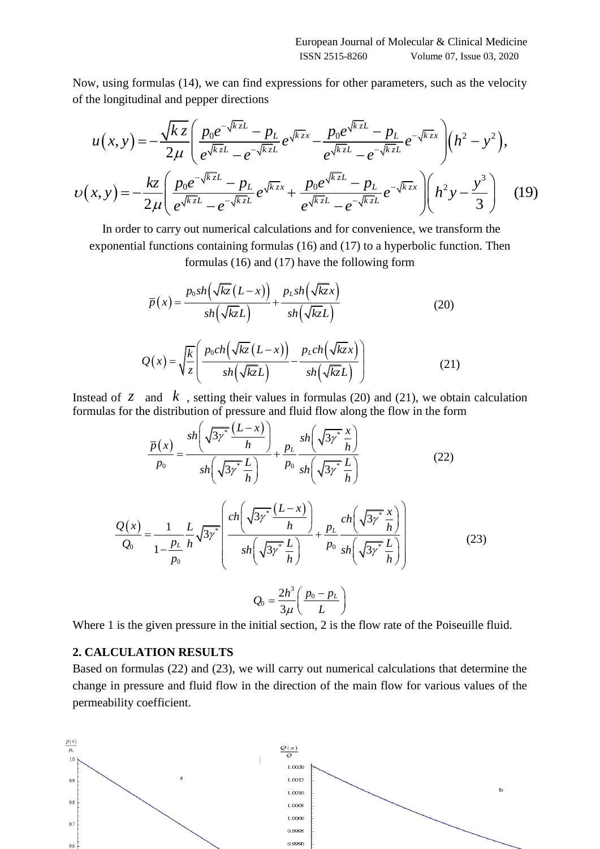of the longitudinal and pepper directions

Now, using formulas (14), we can find expressions for other parameters, such as the velocity  
\nof the longitudinal and pepper directions  
\n
$$
u(x, y) = -\frac{\sqrt{kz}}{2\mu} \left( \frac{p_0 e^{-\sqrt{kz}L} - p_L}{e^{\sqrt{kz}L} - e^{-\sqrt{kz}L}} e^{\sqrt{kz}x} - \frac{p_0 e^{\sqrt{kz}L} - p_L}{e^{\sqrt{kz}L} - e^{-\sqrt{kz}L}} e^{-\sqrt{kz}x} \right) \left( h^2 - y^2 \right),
$$
\n
$$
v(x, y) = -\frac{kz}{2\mu} \left( \frac{p_0 e^{-\sqrt{kz}L} - p_L}{e^{\sqrt{kz}L} - e^{-\sqrt{kz}L}} e^{\sqrt{kz}L} + \frac{p_0 e^{\sqrt{kz}L} - p_L}{e^{\sqrt{kz}L} - e^{-\sqrt{kz}L}} e^{-\sqrt{kz}x} \right) \left( h^2 y - \frac{y^3}{3} \right) \quad (19)
$$
\nIn order to carry out numerical calculations and for convenience, we transform the

In order to carry out numerical calculations and for convenience, we transform the exponential functions containing formulas (16) and (17) to a hyperbolic function. Then formulas (16) and (17) have the following form

$$
\overline{p}(x) = \frac{p_0 sh(\sqrt{kz}(L-x))}{sh(\sqrt{kz}L)} + \frac{p_L sh(\sqrt{kz}x)}{sh(\sqrt{kz}L)}
$$
(20)

$$
Q(x) = \sqrt{\frac{k}{z}} \left( \frac{p_0 ch(\sqrt{kz}(L-x))}{sh(\sqrt{kz}L)} - \frac{p_L ch(\sqrt{kz}x)}{sh(\sqrt{kz}L)} \right)
$$
(21)

Instead of  $\zeta$  and  $\kappa$ , setting their values in formulas (20) and (21), we obtain calculation

formulas for the distribution of pressure and fluid flow along the flow in the form  
\n
$$
\frac{\overline{p}(x)}{p_0} = \frac{sh\left(\sqrt{3\gamma^*} \frac{(L-x)}{h}\right)}{sh\left(\sqrt{3\gamma^*} \frac{L}{h}\right)} + \frac{p_L}{p_0} \frac{sh\left(\sqrt{3\gamma^*} \frac{x}{h}\right)}{sh\left(\sqrt{3\gamma^*} \frac{L}{h}\right)}
$$
\n(22)

$$
\frac{Q(x)}{Q_0} = \frac{1}{1 - \frac{p_L}{p_0}} \frac{L}{h} \sqrt{3\gamma^*} \left( \frac{ch\left(\sqrt{3\gamma^*} \frac{(L-x)}{h}\right)}{sh\left(\sqrt{3\gamma^*} \frac{L}{h}\right)} + \frac{p_L}{p_0} \frac{ch\left(\sqrt{3\gamma^*} \frac{x}{h}\right)}{sh\left(\sqrt{3\gamma^*} \frac{L}{h}\right)} \right)
$$
(23)

$$
Q_0 = \frac{2h^3}{3\mu} \left( \frac{p_0 - p_L}{L} \right)
$$

Where 1 is the given pressure in the initial section, 2 is the flow rate of the Poiseuille fluid.

# **2. CALCULATION RESULTS**

Based on formulas (22) and (23), we will carry out numerical calculations that determine the change in pressure and fluid flow in the direction of the main flow for various values of the permeability coefficient.

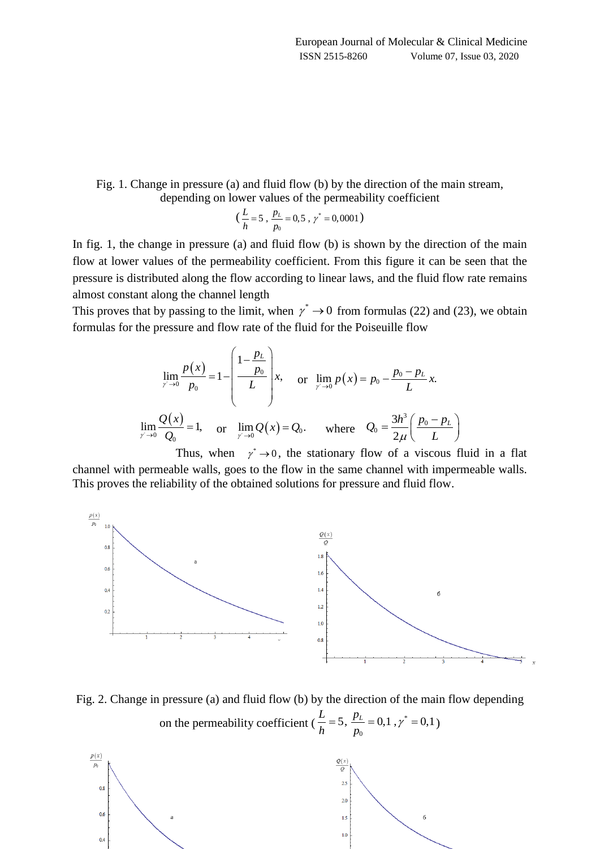### Fig. 1. Change in pressure (a) and fluid flow (b) by the direction of the main stream, depending on lower values of the permeability coefficient

$$
(\frac{L}{h} = 5, \frac{p_L}{p_0} = 0.5, \gamma^* = 0,0001)
$$

In fig. 1, the change in pressure (a) and fluid flow (b) is shown by the direction of the main flow at lower values of the permeability coefficient. From this figure it can be seen that the pressure is distributed along the flow according to linear laws, and the fluid flow rate remains almost constant along the channel length

This proves that by passing to the limit, when  $\gamma^* \to 0$  from formulas (22) and (23), we obtain formulas for the pressure and flow rate of the fluid for the Poiseuille flow

$$
\lim_{y \to 0} \frac{p(x)}{p_0} = 1 - \left( \frac{1 - \frac{p_L}{p_0}}{L} \right) x, \text{ or } \lim_{y \to 0} p(x) = p_0 - \frac{p_0 - p_L}{L} x.
$$
  

$$
\lim_{y \to 0} \frac{Q(x)}{Q_0} = 1, \text{ or } \lim_{y \to 0} Q(x) = Q_0. \text{ where } Q_0 = \frac{3h^3}{2\mu} \left( \frac{p_0 - p_L}{L} \right)
$$

Thus, when  $\gamma^* \rightarrow 0$ , the stationary flow of a viscous fluid in a flat channel with permeable walls, goes to the flow in the same channel with impermeable walls. This proves the reliability of the obtained solutions for pressure and fluid flow.



Fig. 2. Change in pressure (a) and fluid flow (b) by the direction of the main flow depending on the permeability coefficient ( $\frac{L}{l}$  = 5,  $\frac{p_L}{l}$  = 0,1,  $\gamma^*$  $\mathbf{0}$  $\frac{L}{I}$  = 5,  $\frac{p_L}{I}$  = 0,1,  $\gamma^*$  = 0,1  $\frac{1}{h} = 3, \frac{1}{p}$  $=5, \frac{p_L}{n}=0,1; \gamma^* = 0,1$ 

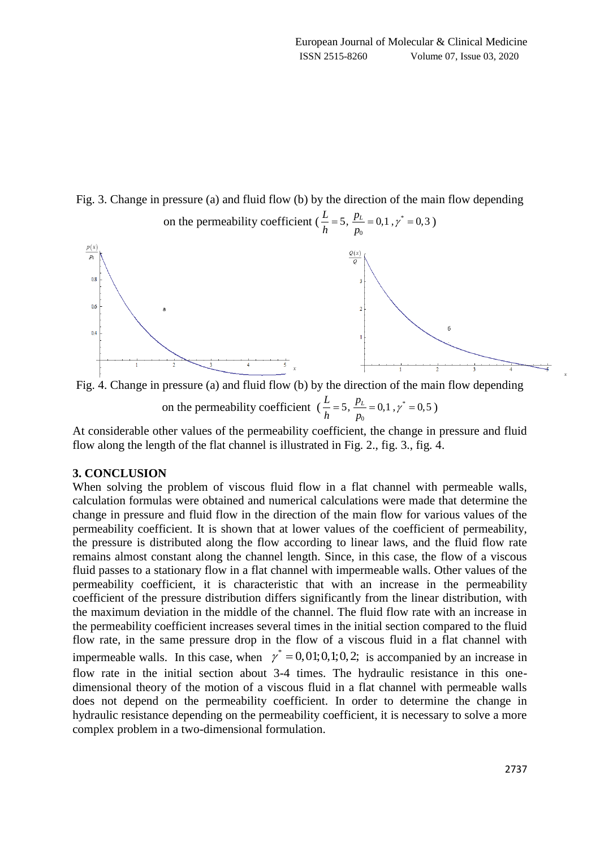Fig. 3. Change in pressure (a) and fluid flow (b) by the direction of the main flow depending



Fig. 4. Change in pressure (a) and fluid flow (b) by the direction of the main flow depending on the permeability coefficient  $(\frac{L}{l} = 5, \frac{p_L}{l} = 0, 1, \gamma^*)$  $\mathbf 0$  $\frac{L}{I}$  = 5,  $\frac{p_L}{I}$  = 0,1,  $\gamma^*$  = 0,5  $\frac{1}{h} = 5, \frac{1}{p}$  $=5, \frac{p_L}{\cdot} = 0.1, \gamma^* = 0.5$ )

At considerable other values of the permeability coefficient, the change in pressure and fluid flow along the length of the flat channel is illustrated in Fig. 2., fig. 3., fig. 4.

#### **3. CONCLUSION**

When solving the problem of viscous fluid flow in a flat channel with permeable walls, calculation formulas were obtained and numerical calculations were made that determine the change in pressure and fluid flow in the direction of the main flow for various values of the permeability coefficient. It is shown that at lower values of the coefficient of permeability, the pressure is distributed along the flow according to linear laws, and the fluid flow rate remains almost constant along the channel length. Since, in this case, the flow of a viscous fluid passes to a stationary flow in a flat channel with impermeable walls. Other values of the permeability coefficient, it is characteristic that with an increase in the permeability coefficient of the pressure distribution differs significantly from the linear distribution, with the maximum deviation in the middle of the channel. The fluid flow rate with an increase in the permeability coefficient increases several times in the initial section compared to the fluid flow rate, in the same pressure drop in the flow of a viscous fluid in a flat channel with impermeable walls. In this case, when  $\gamma^* = 0.01; 0.1; 0.2;$  is accompanied by an increase in flow rate in the initial section about 3-4 times. The hydraulic resistance in this onedimensional theory of the motion of a viscous fluid in a flat channel with permeable walls does not depend on the permeability coefficient. In order to determine the change in hydraulic resistance depending on the permeability coefficient, it is necessary to solve a more complex problem in a two-dimensional formulation.